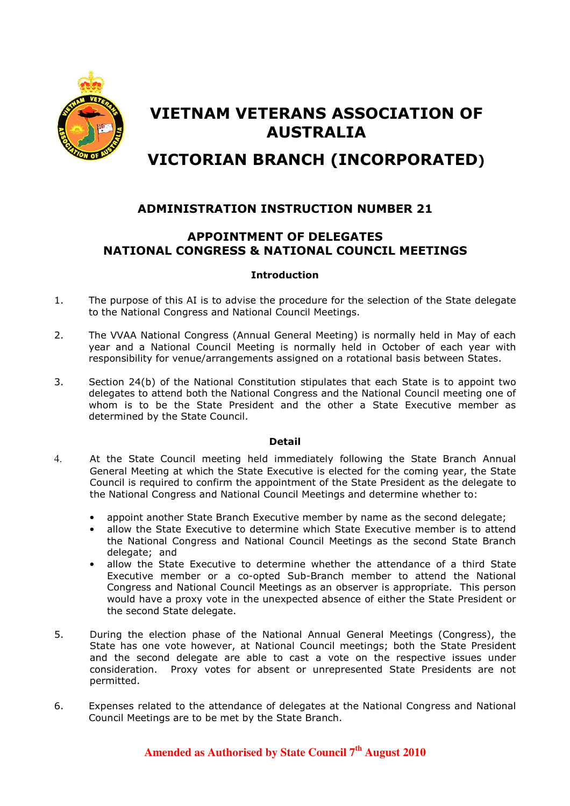

# VIETNAM VETERANS ASSOCIATION OF AUSTRALIA

## VICTORIAN BRANCH (INCORPORATED)

## ADMINISTRATION INSTRUCTION NUMBER 21

## APPOINTMENT OF DELEGATES NATIONAL CONGRESS & NATIONAL COUNCIL MEETINGS

#### Introduction

- 1. The purpose of this AI is to advise the procedure for the selection of the State delegate to the National Congress and National Council Meetings.
- 2. The VVAA National Congress (Annual General Meeting) is normally held in May of each year and a National Council Meeting is normally held in October of each year with responsibility for venue/arrangements assigned on a rotational basis between States.
- 3. Section 24(b) of the National Constitution stipulates that each State is to appoint two delegates to attend both the National Congress and the National Council meeting one of whom is to be the State President and the other a State Executive member as determined by the State Council.

#### Detail

- 4. At the State Council meeting held immediately following the State Branch Annual General Meeting at which the State Executive is elected for the coming year, the State Council is required to confirm the appointment of the State President as the delegate to the National Congress and National Council Meetings and determine whether to:
	- appoint another State Branch Executive member by name as the second delegate;
	- allow the State Executive to determine which State Executive member is to attend the National Congress and National Council Meetings as the second State Branch delegate; and
	- allow the State Executive to determine whether the attendance of a third State Executive member or a co-opted Sub-Branch member to attend the National Congress and National Council Meetings as an observer is appropriate. This person would have a proxy vote in the unexpected absence of either the State President or the second State delegate.
- 5. During the election phase of the National Annual General Meetings (Congress), the State has one vote however, at National Council meetings; both the State President and the second delegate are able to cast a vote on the respective issues under consideration. Proxy votes for absent or unrepresented State Presidents are not permitted.
- 6. Expenses related to the attendance of delegates at the National Congress and National Council Meetings are to be met by the State Branch.

## **Amended as Authorised by State Council 7th August 2010**